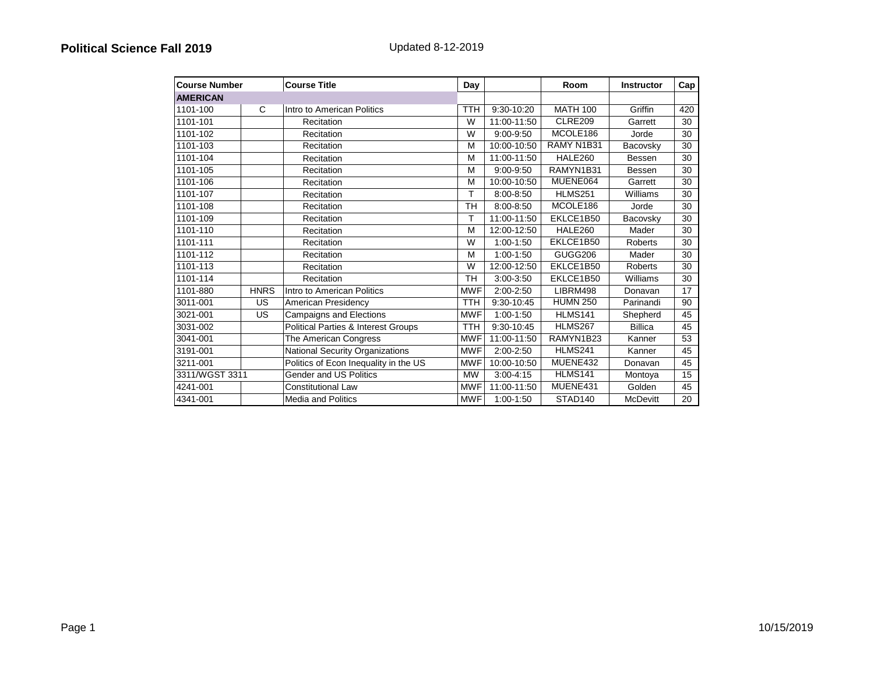| <b>Course Number</b> |             | <b>Course Title</b>                   | Day        |               | Room                | <b>Instructor</b> | Cap |
|----------------------|-------------|---------------------------------------|------------|---------------|---------------------|-------------------|-----|
| <b>AMERICAN</b>      |             |                                       |            |               |                     |                   |     |
| 1101-100             | C           | Intro to American Politics            | <b>TTH</b> | 9:30-10:20    | <b>MATH 100</b>     | Griffin           | 420 |
| 1101-101             |             | Recitation                            | W          | 11:00-11:50   | <b>CLRE209</b>      | Garrett           | 30  |
| 1101-102             |             | Recitation                            | W          | 9:00-9:50     | MCOLE186            | Jorde             | 30  |
| 1101-103             |             | Recitation                            | M          | 10:00-10:50   | RAMY N1B31          | Bacovsky          | 30  |
| 1101-104             |             | Recitation                            | M          | 11:00-11:50   | HALE260             | Bessen            | 30  |
| 1101-105             |             | Recitation                            | M          | 9:00-9:50     | RAMYN1B31           | Bessen            | 30  |
| 1101-106             |             | Recitation                            | M          | 10:00-10:50   | MUENE064            | Garrett           | 30  |
| 1101-107             |             | Recitation                            | T          | 8:00-8:50     | <b>HLMS251</b>      | Williams          | 30  |
| 1101-108             |             | Recitation                            | TН         | 8:00-8:50     | MCOLE186            | Jorde             | 30  |
| 1101-109             |             | Recitation                            | Τ          | 11:00-11:50   | EKLCE1B50           | Bacovsky          | 30  |
| 1101-110             |             | Recitation                            | M          | 12:00-12:50   | HALE260             | Mader             | 30  |
| 1101-111             |             | Recitation                            | W          | 1:00-1:50     | EKLCE1B50           | <b>Roberts</b>    | 30  |
| 1101-112             |             | Recitation                            | M          | 1:00-1:50     | GUGG206             | Mader             | 30  |
| 1101-113             |             | Recitation                            | W          | 12:00-12:50   | EKLCE1B50           | <b>Roberts</b>    | 30  |
| 1101-114             |             | Recitation                            | TH         | 3:00-3:50     | EKLCE1B50           | Williams          | 30  |
| 1101-880             | <b>HNRS</b> | Intro to American Politics            | <b>MWF</b> | 2:00-2:50     | LIBRM498            | Donavan           | 17  |
| 3011-001             | US          | American Presidency                   | <b>TTH</b> | 9:30-10:45    | <b>HUMN 250</b>     | Parinandi         | 90  |
| 3021-001             | US          | Campaigns and Elections               | <b>MWF</b> | 1:00-1:50     | HLMS141             | Shepherd          | 45  |
| 3031-002             |             | Political Parties & Interest Groups   | <b>TTH</b> | 9:30-10:45    | HLMS267             | <b>Billica</b>    | 45  |
| 3041-001             |             | The American Congress                 | <b>MWF</b> | 11:00-11:50   | RAMYN1B23           | Kanner            | 53  |
| 3191-001             |             | National Security Organizations       | <b>MWF</b> | 2:00-2:50     | HLMS241             | Kanner            | 45  |
| 3211-001             |             | Politics of Econ Inequality in the US | <b>MWF</b> | 10:00-10:50   | MUENE432            | Donavan           | 45  |
| 3311/WGST 3311       |             | Gender and US Politics                | <b>MW</b>  | $3:00 - 4:15$ | <b>HLMS141</b>      | Montoya           | 15  |
| 4241-001             |             | <b>Constitutional Law</b>             | <b>MWF</b> | 11:00-11:50   | MUENE431            | Golden            | 45  |
| 4341-001             |             | <b>Media and Politics</b>             | <b>MWF</b> | 1:00-1:50     | STAD <sub>140</sub> | <b>McDevitt</b>   | 20  |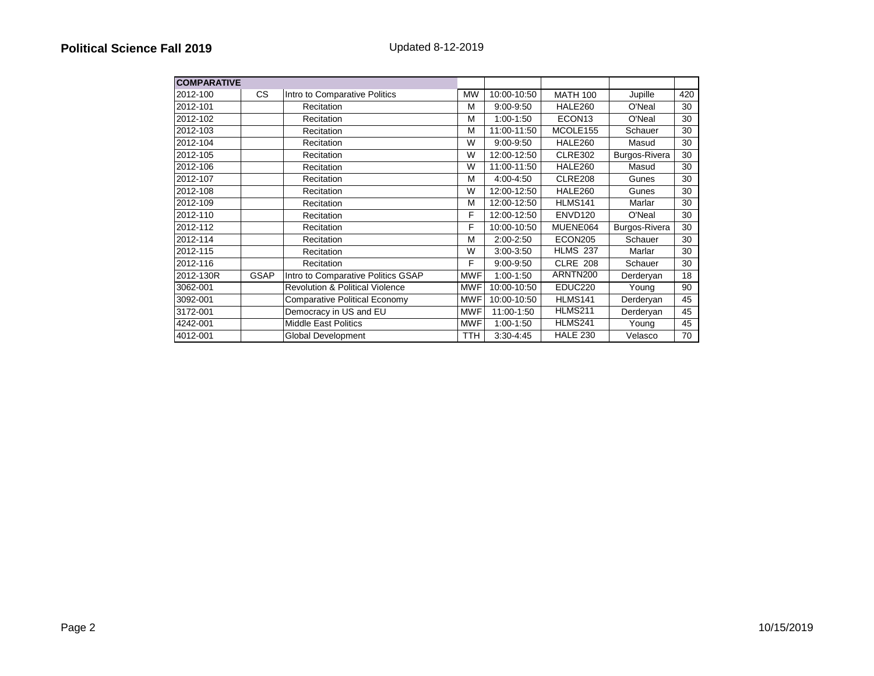| <b>COMPARATIVE</b> |             |                                            |            |             |                    |                      |     |
|--------------------|-------------|--------------------------------------------|------------|-------------|--------------------|----------------------|-----|
| 2012-100           | <b>CS</b>   | Intro to Comparative Politics              | <b>MW</b>  | 10:00-10:50 | <b>MATH 100</b>    | Jupille              | 420 |
| 2012-101           |             | Recitation                                 | M          | 9:00-9:50   | HALE260            | O'Neal               | 30  |
| 2012-102           |             | Recitation                                 | M          | 1:00-1:50   | ECON <sub>13</sub> | O'Neal               | 30  |
| 2012-103           |             | Recitation                                 | M          | 11:00-11:50 | MCOLE155           | Schauer              | 30  |
| 2012-104           |             | Recitation                                 | W          | 9:00-9:50   | HALE260            | Masud                | 30  |
| 2012-105           |             | Recitation                                 | W          | 12:00-12:50 | <b>CLRE302</b>     | <b>Burgos-Rivera</b> | 30  |
| 2012-106           |             | Recitation                                 | W          | 11:00-11:50 | HALE260            | Masud                | 30  |
| 2012-107           |             | Recitation                                 | M          | 4:00-4:50   | <b>CLRE208</b>     | Gunes                | 30  |
| 2012-108           |             | Recitation                                 | W          | 12:00-12:50 | HALE260            | Gunes                | 30  |
| 2012-109           |             | Recitation                                 | M          | 12:00-12:50 | HLMS141            | Marlar               | 30  |
| 2012-110           |             | Recitation                                 | F          | 12:00-12:50 | ENVD120            | O'Neal               | 30  |
| 2012-112           |             | Recitation                                 | F          | 10:00-10:50 | MUENE064           | <b>Burgos-Rivera</b> | 30  |
| 2012-114           |             | Recitation                                 | M          | 2:00-2:50   | ECON205            | Schauer              | 30  |
| 2012-115           |             | Recitation                                 | W          | 3:00-3:50   | <b>HLMS 237</b>    | Marlar               | 30  |
| 2012-116           |             | Recitation                                 | F          | 9:00-9:50   | <b>CLRE 208</b>    | Schauer              | 30  |
| 2012-130R          | <b>GSAP</b> | Intro to Comparative Politics GSAP         | <b>MWF</b> | 1:00-1:50   | ARNTN200           | Derderyan            | 18  |
| 3062-001           |             | <b>Revolution &amp; Political Violence</b> | <b>MWF</b> | 10:00-10:50 | EDUC220            | Young                | 90  |
| 3092-001           |             | <b>Comparative Political Economy</b>       | <b>MWF</b> | 10:00-10:50 | HLMS141            | Derderyan            | 45  |
| 3172-001           |             | Democracy in US and EU                     | <b>MWF</b> | 11:00-1:50  | HLMS211            | Derderyan            | 45  |
| 4242-001           |             | <b>Middle East Politics</b>                | <b>MWF</b> | 1:00-1:50   | HLMS241            | Young                | 45  |
| 4012-001           |             | <b>Global Development</b>                  | <b>TTH</b> | $3:30-4:45$ | <b>HALE 230</b>    | Velasco              | 70  |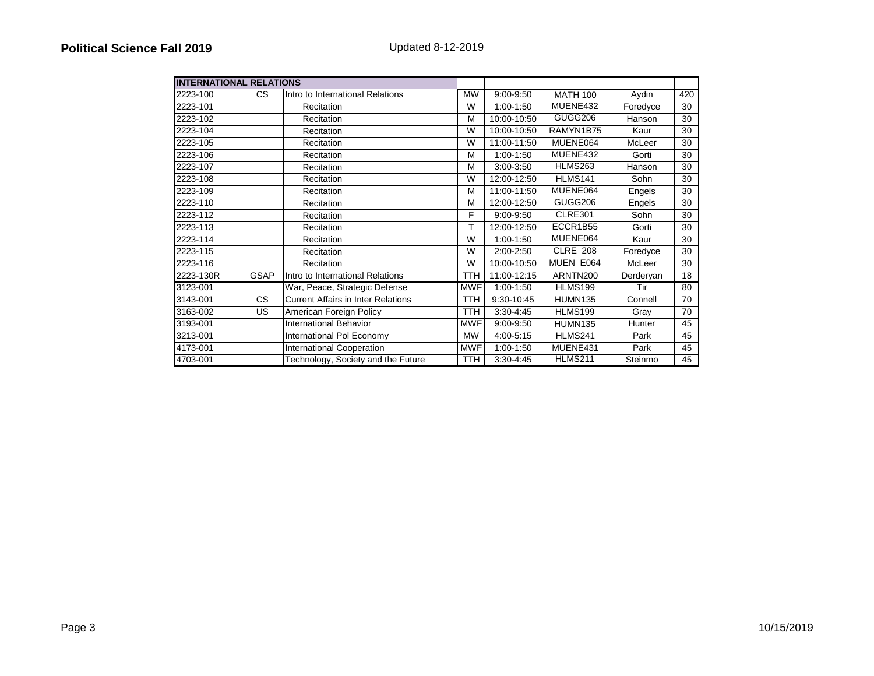| <b>INTERNATIONAL RELATIONS</b> |             |                                           |            |             |                 |           |     |
|--------------------------------|-------------|-------------------------------------------|------------|-------------|-----------------|-----------|-----|
| 2223-100                       | CS.         | Intro to International Relations          | <b>MW</b>  | 9:00-9:50   | <b>MATH 100</b> | Aydin     | 420 |
| 2223-101                       |             | <b>Recitation</b>                         | W          | 1:00-1:50   | MUENE432        | Foredyce  | 30  |
| 2223-102                       |             | <b>Recitation</b>                         | M          | 10:00-10:50 | GUGG206         | Hanson    | 30  |
| 2223-104                       |             | <b>Recitation</b>                         | W          | 10:00-10:50 | RAMYN1B75       | Kaur      | 30  |
| 2223-105                       |             | <b>Recitation</b>                         | W          | 11:00-11:50 | MUENE064        | McLeer    | 30  |
| 2223-106                       |             | Recitation                                | M          | $1:00-1:50$ | MUENE432        | Gorti     | 30  |
| 2223-107                       |             | Recitation                                | M          | 3:00-3:50   | <b>HLMS263</b>  | Hanson    | 30  |
| 2223-108                       |             | Recitation                                | W          | 12:00-12:50 | HLMS141         | Sohn      | 30  |
| 2223-109                       |             | Recitation                                | M          | 11:00-11:50 | MUENE064        | Engels    | 30  |
| 2223-110                       |             | Recitation                                | M          | 12:00-12:50 | GUGG206         | Engels    | 30  |
| 2223-112                       |             | Recitation                                | F          | 9:00-9:50   | <b>CLRE301</b>  | Sohn      | 30  |
| 2223-113                       |             | <b>Recitation</b>                         | т          | 12:00-12:50 | ECCR1B55        | Gorti     | 30  |
| 2223-114                       |             | <b>Recitation</b>                         | W          | $1:00-1:50$ | MUENE064        | Kaur      | 30  |
| 2223-115                       |             | <b>Recitation</b>                         | W          | 2:00-2:50   | <b>CLRE 208</b> | Foredyce  | 30  |
| 2223-116                       |             | <b>Recitation</b>                         | W          | 10:00-10:50 | MUEN E064       | McLeer    | 30  |
| 2223-130R                      | <b>GSAP</b> | Intro to International Relations          | <b>TTH</b> | 11:00-12:15 | ARNTN200        | Derderyan | 18  |
| 3123-001                       |             | War, Peace, Strategic Defense             | MWF        | $1:00-1:50$ | HLMS199         | Tir       | 80  |
| 3143-001                       | CS.         | <b>Current Affairs in Inter Relations</b> | <b>TTH</b> | 9:30-10:45  | <b>HUMN135</b>  | Connell   | 70  |
| 3163-002                       | <b>US</b>   | American Foreign Policy                   | <b>TTH</b> | $3:30-4:45$ | HLMS199         | Gray      | 70  |
| 3193-001                       |             | <b>International Behavior</b>             | <b>MWF</b> | 9:00-9:50   | <b>HUMN135</b>  | Hunter    | 45  |
| 3213-001                       |             | International Pol Economy                 | <b>MW</b>  | 4:00-5:15   | HLMS241         | Park      | 45  |
| 4173-001                       |             | International Cooperation                 | <b>MWF</b> | 1:00-1:50   | MUENE431        | Park      | 45  |
| 4703-001                       |             | Technology, Society and the Future        | <b>TTH</b> | $3:30-4:45$ | <b>HLMS211</b>  | Steinmo   | 45  |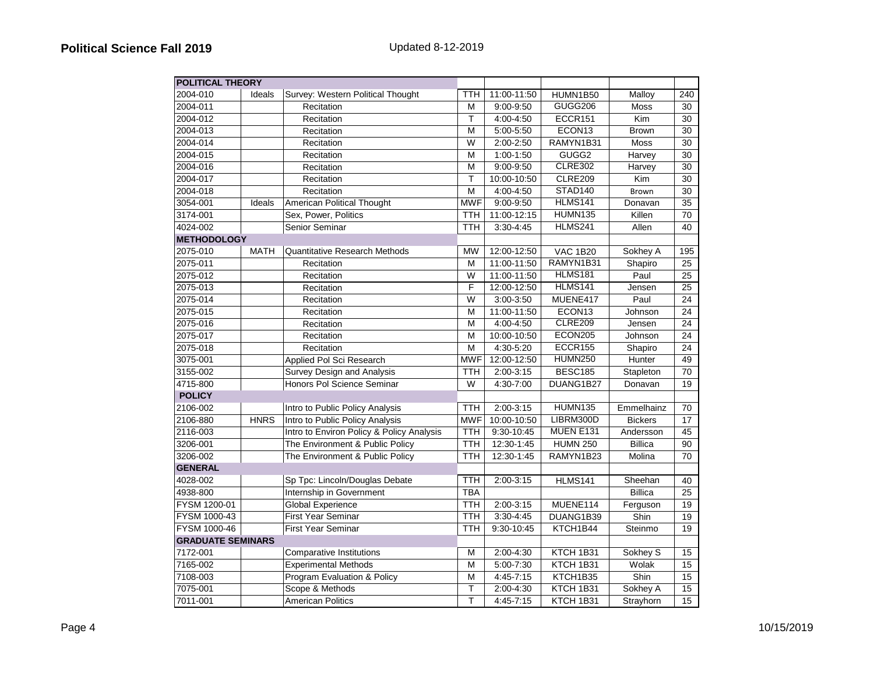| <b>POLITICAL THEORY</b>  |             |                                           |                |               |                    |                |                 |
|--------------------------|-------------|-------------------------------------------|----------------|---------------|--------------------|----------------|-----------------|
| 2004-010                 | Ideals      | Survey: Western Political Thought         | TTH            | 11:00-11:50   | HUMN1B50           | Malloy         | 240             |
| 2004-011                 |             | Recitation                                | М              | 9:00-9:50     | GUGG206            | Moss           | 30              |
| 2004-012                 |             | Recitation                                | T              | 4:00-4:50     | ECCR151            | Kim            | 30              |
| 2004-013                 |             | Recitation                                | М              | 5:00-5:50     | ECON <sub>13</sub> | <b>Brown</b>   | 30              |
| 2004-014                 |             | Recitation                                | W              | 2:00-2:50     | RAMYN1B31          | <b>Moss</b>    | 30              |
| 2004-015                 |             | Recitation                                | M              | 1:00-1:50     | GUGG2              | Harvey         | 30              |
| 2004-016                 |             | Recitation                                | М              | 9:00-9:50     | <b>CLRE302</b>     | Harvey         | 30              |
| 2004-017                 |             | Recitation                                | Τ              | 10:00-10:50   | <b>CLRE209</b>     | Kim            | 30              |
| 2004-018                 |             | Recitation                                | M              | $4:00 - 4:50$ | STAD140            | Brown          | 30              |
| 3054-001                 | Ideals      | American Political Thought                | <b>MWF</b>     | 9:00-9:50     | HLMS141            | Donavan        | 35              |
| 3174-001                 |             | Sex, Power, Politics                      | <b>TTH</b>     | 11:00-12:15   | <b>HUMN135</b>     | Killen         | 70              |
| 4024-002                 |             | Senior Seminar                            | <b>TTH</b>     | 3:30-4:45     | HLMS241            | Allen          | 40              |
| <b>METHODOLOGY</b>       |             |                                           |                |               |                    |                |                 |
| 2075-010                 | <b>MATH</b> | <b>Quantitative Research Methods</b>      | <b>MW</b>      | 12:00-12:50   | <b>VAC 1B20</b>    | Sokhey A       | 195             |
| 2075-011                 |             | Recitation                                | М              | 11:00-11:50   | RAMYN1B31          | Shapiro        | 25              |
| 2075-012                 |             | Recitation                                | W              | 11:00-11:50   | HLMS181            | Paul           | 25              |
| 2075-013                 |             | Recitation                                | F              | 12:00-12:50   | HLMS141            | Jensen         | $\overline{25}$ |
| 2075-014                 |             | Recitation                                | W              | $3:00 - 3:50$ | MUENE417           | Paul           | 24              |
| 2075-015                 |             | Recitation                                | M              | 11:00-11:50   | ECON <sub>13</sub> | Johnson        | 24              |
| 2075-016                 |             | Recitation                                | M              | 4:00-4:50     | <b>CLRE209</b>     | Jensen         | 24              |
| 2075-017                 |             | Recitation                                | $\overline{M}$ | 10:00-10:50   | ECON205            | Johnson        | 24              |
| 2075-018                 |             | Recitation                                | M              | 4:30-5:20     | <b>ECCR155</b>     | Shapiro        | 24              |
| 3075-001                 |             | Applied Pol Sci Research                  | <b>MWF</b>     | 12:00-12:50   | <b>HUMN250</b>     | Hunter         | 49              |
| 3155-002                 |             | <b>Survey Design and Analysis</b>         | <b>TTH</b>     | $2:00 - 3:15$ | <b>BESC185</b>     | Stapleton      | 70              |
| 4715-800                 |             | Honors Pol Science Seminar                | W              | 4:30-7:00     | DUANG1B27          | Donavan        | 19              |
| <b>POLICY</b>            |             |                                           |                |               |                    |                |                 |
| 2106-002                 |             | Intro to Public Policy Analysis           | <b>TTH</b>     | $2:00 - 3:15$ | <b>HUMN135</b>     | Emmelhainz     | 70              |
| 2106-880                 | <b>HNRS</b> | Intro to Public Policy Analysis           | <b>MWF</b>     | 10:00-10:50   | LIBRM300D          | <b>Bickers</b> | 17              |
| 2116-003                 |             | Intro to Environ Policy & Policy Analysis | <b>TTH</b>     | 9:30-10:45    | MUEN E131          | Andersson      | 45              |
| 3206-001                 |             | The Environment & Public Policy           | <b>TTH</b>     | 12:30-1:45    | <b>HUMN 250</b>    | <b>Billica</b> | 90              |
| 3206-002                 |             | The Environment & Public Policy           | <b>TTH</b>     | 12:30-1:45    | RAMYN1B23          | Molina         | 70              |
| <b>GENERAL</b>           |             |                                           |                |               |                    |                |                 |
| 4028-002                 |             | Sp Tpc: Lincoln/Douglas Debate            | <b>TTH</b>     | 2:00-3:15     | HLMS141            | Sheehan        | 40              |
| 4938-800                 |             | Internship in Government                  | <b>TBA</b>     |               |                    | <b>Billica</b> | 25              |
| FYSM 1200-01             |             | <b>Global Experience</b>                  | <b>TTH</b>     | 2:00-3:15     | MUENE114           | Ferguson       | 19              |
| FYSM 1000-43             |             | <b>First Year Seminar</b>                 | <b>TTH</b>     | $3:30 - 4:45$ | DUANG1B39          | Shin           | 19              |
| FYSM 1000-46             |             | <b>First Year Seminar</b>                 | <b>TTH</b>     | 9:30-10:45    | KTCH1B44           | Steinmo        | 19              |
| <b>GRADUATE SEMINARS</b> |             |                                           |                |               |                    |                |                 |
| 7172-001                 |             | <b>Comparative Institutions</b>           | M              | 2:00-4:30     | KTCH 1B31          | Sokhey S       | 15              |
| 7165-002                 |             | <b>Experimental Methods</b>               | M              | 5:00-7:30     | KTCH 1B31          | Wolak          | 15              |
| 7108-003                 |             | Program Evaluation & Policy               | M              | 4:45-7:15     | KTCH1B35           | Shin           | 15              |
| 7075-001                 |             | Scope & Methods                           | Т              | 2:00-4:30     | KTCH 1B31          | Sokhey A       | 15              |
| 7011-001                 |             | <b>American Politics</b>                  | T              | 4:45-7:15     | KTCH 1B31          | Strayhorn      | 15              |